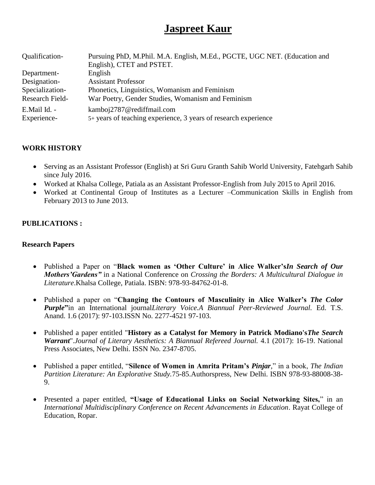# **Jaspreet Kaur**

| Qualification-  | Pursuing PhD, M.Phil. M.A. English, M.Ed., PGCTE, UGC NET. (Education and |
|-----------------|---------------------------------------------------------------------------|
|                 | English), CTET and PSTET.                                                 |
| Department-     | English                                                                   |
| Designation-    | <b>Assistant Professor</b>                                                |
| Specialization- | Phonetics, Linguistics, Womanism and Feminism                             |
| Research Field- | War Poetry, Gender Studies, Womanism and Feminism                         |
| E.Mail Id. -    | kamboj2787@rediffmail.com                                                 |
| Experience-     | 5+ years of teaching experience, 3 years of research experience           |

## **WORK HISTORY**

- Serving as an Assistant Professor (English) at Sri Guru Granth Sahib World University, Fatehgarh Sahib since July 2016.
- Worked at Khalsa College, Patiala as an Assistant Professor-English from July 2015 to April 2016.
- Worked at Continental Group of Institutes as a Lecturer –Communication Skills in English from February 2013 to June 2013.

## **PUBLICATIONS :**

#### **Research Papers**

- Published a Paper on "**Black women as 'Other Culture' in Alice Walker's***In Search of Our Mothers'Gardens"* in a National Conference on *Crossing the Borders: A Multicultural Dialogue in Literature*.Khalsa College, Patiala. ISBN: 978-93-84762-01-8.
- Published a paper on "**Changing the Contours of Masculinity in Alice Walker's** *The Color Purple***"**in an International journal*Literary Voice.A Biannual Peer-Reviewed Journal.* Ed. T.S. Anand. 1.6 (2017): 97-103.ISSN No. 2277-4521 97-103.
- Published a paper entitled "**History as a Catalyst for Memory in Patrick Modiano's***The Search Warrant*".*Journal of Literary Aesthetics: A Biannual Refereed Journal.* 4.1 (2017): 16-19. National Press Associates, New Delhi. ISSN No. 2347-8705.
- Published a paper entitled, "**Silence of Women in Amrita Pritam's** *Pinjar,*" in a book, *The Indian Partition Literature: An Explorative Study.*75-85.Authorspress, New Delhi. ISBN 978-93-88008-38- 9.
- Presented a paper entitled, **"Usage of Educational Links on Social Networking Sites,**" in an *International Multidisciplinary Conference on Recent Advancements in Education*. Rayat College of Education, Ropar.